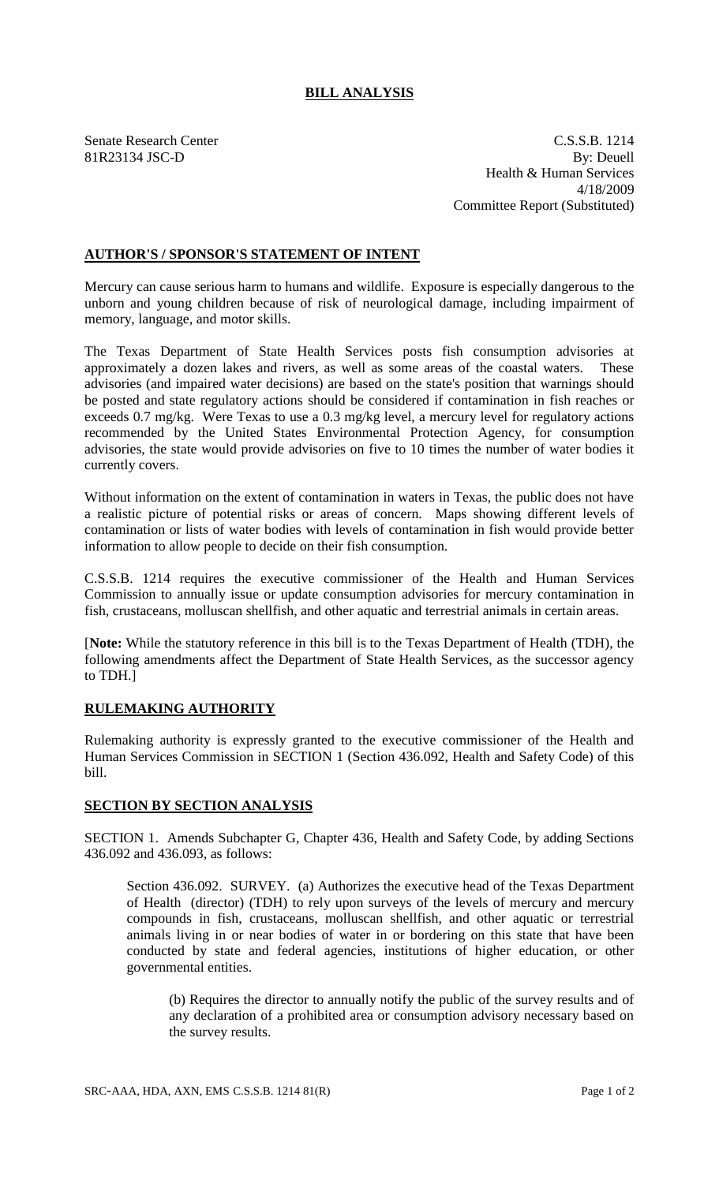## **BILL ANALYSIS**

Senate Research Center C.S.S.B. 1214 81R23134 JSC-D By: Deuell Health & Human Services 4/18/2009 Committee Report (Substituted)

## **AUTHOR'S / SPONSOR'S STATEMENT OF INTENT**

Mercury can cause serious harm to humans and wildlife. Exposure is especially dangerous to the unborn and young children because of risk of neurological damage, including impairment of memory, language, and motor skills.

The Texas Department of State Health Services posts fish consumption advisories at approximately a dozen lakes and rivers, as well as some areas of the coastal waters. These advisories (and impaired water decisions) are based on the state's position that warnings should be posted and state regulatory actions should be considered if contamination in fish reaches or exceeds 0.7 mg/kg. Were Texas to use a 0.3 mg/kg level, a mercury level for regulatory actions recommended by the United States Environmental Protection Agency, for consumption advisories, the state would provide advisories on five to 10 times the number of water bodies it currently covers.

Without information on the extent of contamination in waters in Texas, the public does not have a realistic picture of potential risks or areas of concern. Maps showing different levels of contamination or lists of water bodies with levels of contamination in fish would provide better information to allow people to decide on their fish consumption.

C.S.S.B. 1214 requires the executive commissioner of the Health and Human Services Commission to annually issue or update consumption advisories for mercury contamination in fish, crustaceans, molluscan shellfish, and other aquatic and terrestrial animals in certain areas.

[**Note:** While the statutory reference in this bill is to the Texas Department of Health (TDH), the following amendments affect the Department of State Health Services, as the successor agency to TDH.]

## **RULEMAKING AUTHORITY**

Rulemaking authority is expressly granted to the executive commissioner of the Health and Human Services Commission in SECTION 1 (Section 436.092, Health and Safety Code) of this bill.

## **SECTION BY SECTION ANALYSIS**

SECTION 1. Amends Subchapter G, Chapter 436, Health and Safety Code, by adding Sections 436.092 and 436.093, as follows:

Section 436.092. SURVEY. (a) Authorizes the executive head of the Texas Department of Health (director) (TDH) to rely upon surveys of the levels of mercury and mercury compounds in fish, crustaceans, molluscan shellfish, and other aquatic or terrestrial animals living in or near bodies of water in or bordering on this state that have been conducted by state and federal agencies, institutions of higher education, or other governmental entities.

(b) Requires the director to annually notify the public of the survey results and of any declaration of a prohibited area or consumption advisory necessary based on the survey results.